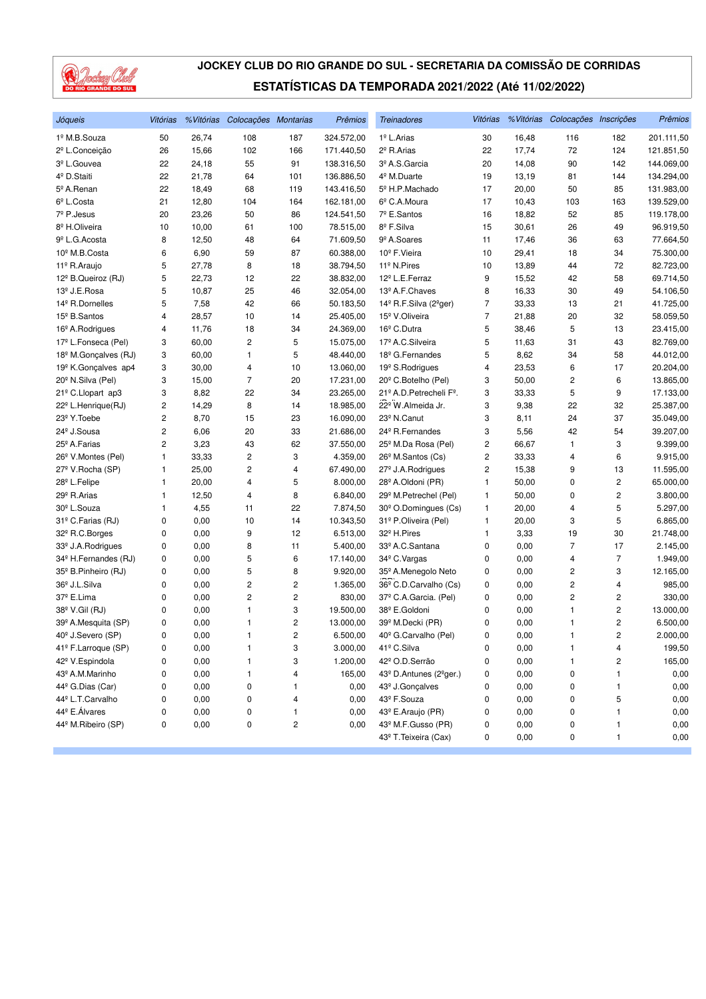

| Jóqueis                          | Vitórias |       | % Vitórias Colocações Montarias |                | Prêmios    | <b>Treinadores</b>                             | Vitórias |       | % Vitórias Colocações Inscrições |                | Prêmios    |
|----------------------------------|----------|-------|---------------------------------|----------------|------------|------------------------------------------------|----------|-------|----------------------------------|----------------|------------|
| 1º M.B.Souza                     | 50       | 26,74 | 108                             | 187            | 324.572,00 | 1º L.Arias                                     | 30       | 16,48 | 116                              | 182            | 201.111,50 |
| 2 <sup>º</sup> L.Conceição       | 26       | 15,66 | 102                             | 166            | 171.440,50 | 2 <sup>º</sup> R.Arias                         | 22       | 17,74 | 72                               | 124            | 121.851,50 |
| 3º L.Gouvea                      | 22       | 24,18 | 55                              | 91             | 138.316,50 | 3º A.S.Garcia                                  | 20       | 14,08 | 90                               | 142            | 144.069,00 |
| 4 <sup>º</sup> D.Staiti          | 22       | 21,78 | 64                              | 101            | 136.886,50 | 4 <sup>º</sup> M.Duarte                        | 19       | 13,19 | 81                               | 144            | 134.294,00 |
| 5º A.Renan                       | 22       | 18,49 | 68                              | 119            | 143.416,50 | 5º H.P.Machado                                 | 17       | 20,00 | 50                               | 85             | 131.983,00 |
| $6^{\circ}$ L.Costa              | 21       | 12,80 | 104                             | 164            | 162.181,00 | 6 <sup>°</sup> C.A.Moura                       | 17       | 10,43 | 103                              | 163            | 139.529,00 |
| 7º P.Jesus                       | 20       | 23,26 | 50                              | 86             | 124.541,50 | 7º E.Santos                                    | 16       | 18,82 | 52                               | 85             | 119.178,00 |
| 8 <sup>º</sup> H.Oliveira        | 10       | 10,00 | 61                              | 100            | 78.515,00  | 8º F.Silva                                     | 15       | 30,61 | 26                               | 49             | 96.919,50  |
| 9 <sup>º</sup> L.G. Acosta       | 8        | 12,50 | 48                              | 64             | 71.609,50  | 9 <sup>º</sup> A.Soares                        | 11       | 17,46 | 36                               | 63             | 77.664,50  |
| 10 <sup>º</sup> M.B.Costa        | 6        | 6,90  | 59                              | 87             | 60.388,00  | 10 <sup>°</sup> F. Vieira                      | 10       | 29,41 | 18                               | 34             | 75.300,00  |
| 11º R.Araujo                     | 5        | 27,78 | 8                               | 18             | 38.794,50  | 11 <sup>º</sup> N.Pires                        | 10       | 13,89 | 44                               | 72             | 82.723,00  |
| 12 <sup>°</sup> B.Queiroz (RJ)   | 5        | 22,73 | 12                              | 22             | 38.832,00  | 12 <sup>º</sup> L.E.Ferraz                     | 9        | 15,52 | 42                               | 58             | 69.714,50  |
| 13º J.E.Rosa                     | 5        | 10,87 | 25                              | 46             | 32.054,00  | 13º A.F.Chaves                                 | 8        | 16,33 | 30                               | 49             | 54.106,50  |
| 14 <sup>º</sup> R.Dornelles      | 5        | 7,58  | 42                              | 66             | 50.183,50  | 14 <sup>°</sup> R.F.Silva (2 <sup>°</sup> ger) | 7        | 33,33 | 13                               | 21             | 41.725,00  |
| 15 <sup>°</sup> B. Santos        | 4        | 28,57 | 10                              | 14             | 25.405,00  | 15 <sup>º</sup> V.Oliveira                     | 7        | 21,88 | 20                               | 32             | 58.059,50  |
| 16 <sup>°</sup> A.Rodrigues      | 4        | 11,76 | 18                              | 34             | 24.369,00  | 16 <sup>°</sup> C.Dutra                        | 5        | 38,46 | 5                                | 13             | 23.415,00  |
| 17º L.Fonseca (Pel)              | 3        | 60,00 | 2                               | 5              | 15.075,00  | 17º A.C. Silveira                              | 5        | 11,63 | 31                               | 43             | 82.769,00  |
| 18 <sup>º</sup> M.Gonçalves (RJ) | 3        | 60,00 | 1                               | 5              | 48.440,00  | 18 <sup>°</sup> G.Fernandes                    | 5        | 8,62  | 34                               | 58             | 44.012,00  |
| 19 <sup>º</sup> K.Gonçalves ap4  | 3        | 30,00 | 4                               | 10             | 13.060,00  | 19 <sup>°</sup> S.Rodrigues                    | 4        | 23,53 | 6                                | 17             | 20.204,00  |
| 20 <sup>°</sup> N.Silva (Pel)    | 3        | 15,00 | $\overline{7}$                  | 20             | 17.231,00  | 20 <sup>°</sup> C.Botelho (Pel)                | 3        | 50,00 | 2                                | 6              | 13.865,00  |
| 21º C.Llopart ap3                | 3        | 8,82  | 22                              | 34             | 23.265,00  | 21º A.D. Petrecheli Fº.                        | 3        | 33,33 | 5                                | 9              | 17.133,00  |
| 22 <sup>°</sup> L.Henrique(RJ)   | 2        | 14,29 | 8                               | 14             | 18.985,00  | 22º W.Almeida Jr.                              | 3        | 9,38  | 22                               | 32             | 25.387,00  |
| 23 <sup>°</sup> Y. Toebe         | 2        | 8,70  | 15                              | 23             | 16.090,00  | 23 <sup>º</sup> N.Canut                        | 3        | 8,11  | 24                               | 37             | 35.049,00  |
| 24 <sup>°</sup> J.Sousa          | 2        | 6,06  | 20                              | 33             | 21.686,00  | 24 <sup>°</sup> R.Fernandes                    | 3        | 5,56  | 42                               | 54             | 39.207,00  |
| 25 <sup>°</sup> A.Farias         | 2        | 3,23  | 43                              | 62             | 37.550,00  | 25 <sup>°</sup> M.Da Rosa (Pel)                | 2        | 66,67 | 1                                | 3              | 9.399,00   |
| 26 <sup>°</sup> V.Montes (Pel)   | 1        | 33,33 | 2                               | 3              | 4.359,00   | 26 <sup>°</sup> M.Santos (Cs)                  | 2        | 33,33 | 4                                | 6              | 9.915,00   |
| 27º V.Rocha (SP)                 | 1        | 25,00 | 2                               | 4              | 67.490,00  | 27 <sup>°</sup> J.A.Rodrigues                  | 2        | 15,38 | 9                                | 13             | 11.595,00  |
| 28º L.Felipe                     | 1        | 20,00 | 4                               | 5              | 8.000,00   | 28 <sup>°</sup> A.Oldoni (PR)                  | 1        | 50,00 | 0                                | $\overline{c}$ | 65.000,00  |
| 29 <sup>°</sup> R.Arias          | 1        | 12,50 | 4                               | 8              | 6.840,00   | 29 <sup>°</sup> M.Petrechel (Pel)              | 1        | 50,00 | 0                                | 2              | 3.800,00   |
| 30 <sup>°</sup> L.Souza          | 1        | 4,55  | 11                              | 22             | 7.874,50   | 30 <sup>°</sup> O.Domingues (Cs)               | 1        | 20,00 | 4                                | 5              | 5.297,00   |
| 31º C.Farias (RJ)                | 0        | 0,00  | 10                              | 14             | 10.343,50  | 31º P.Oliveira (Pel)                           | 1        | 20,00 | 3                                | 5              | 6.865,00   |
| 32º R.C.Borges                   | 0        | 0,00  | 9                               | 12             | 6.513,00   | 32 <sup>º</sup> H.Pires                        | 1        | 3,33  | 19                               | 30             | 21.748,00  |
| 33º J.A.Rodrigues                | 0        | 0,00  | 8                               | 11             | 5.400,00   | 33º A.C.Santana                                | 0        | 0,00  | 7                                | 17             | 2.145,00   |
| 34 <sup>°</sup> H.Fernandes (RJ) | 0        | 0,00  | 5                               | 6              | 17.140,00  | 34 <sup>°</sup> C.Vargas                       | 0        | 0,00  | 4                                | $\overline{7}$ | 1.949,00   |
| 35 <sup>°</sup> B. Pinheiro (RJ) | 0        | 0,00  | 5                               | 8              | 9.920,00   | 35º A.Menegolo Neto                            | 0        | 0,00  | $\overline{\mathbf{c}}$          | 3              | 12.165,00  |
| 36 <sup>°</sup> J.L.Silva        | 0        | 0,00  | 2                               | 2              | 1.365,00   | 36 <sup>°</sup> C.D.Carvalho (Cs)              | 0        | 0,00  | 2                                | 4              | 985,00     |
| 37º E.Lima                       | 0        | 0,00  | 2                               | 2              | 830,00     | 37º C.A.Garcia. (Pel)                          | 0        | 0,00  | 2                                | 2              | 330,00     |
| 38º V.Gil (RJ)                   | 0        | 0,00  | 1                               | 3              | 19.500,00  | 38º E.Goldoni                                  | 0        | 0,00  | 1                                | 2              | 13.000,00  |
| 39º A.Mesquita (SP)              | 0        | 0,00  | 1                               | 2              | 13.000,00  | 39 <sup>º</sup> M.Decki (PR)                   | 0        | 0,00  | 1                                | 2              | 6.500,00   |
| 40 <sup>°</sup> J.Severo (SP)    | 0        | 0,00  | 1                               | $\overline{2}$ | 6.500,00   | 40° G.Carvalho (Pel)                           | 0        | 0.00  | $\mathbf{1}$                     | $\overline{c}$ | 2.000,00   |
| 41º F.Larroque (SP)              | 0        | 0,00  | 1                               | 3              | 3.000,00   | 41º C.Silva                                    | 0        | 0,00  | 1                                | 4              | 199,50     |
| 42 <sup>º</sup> V.Espindola      | 0        | 0,00  | 1                               | 3              | 1.200,00   | 42º O.D.Serrão                                 | 0        | 0,00  | 1                                | 2              | 165,00     |
| 43 <sup>º</sup> A.M.Marinho      | 0        | 0,00  | 1                               | 4              | 165,00     | 43º D.Antunes (2ºger.)                         | 0        | 0,00  | 0                                | 1              | 0,00       |
| 44 <sup>°</sup> G.Dias (Car)     | 0        | 0,00  | 0                               | 1              | 0,00       | 43 <sup>º</sup> J.Gonçalves                    | 0        | 0,00  | 0                                | 1              | 0,00       |
| 44º L.T.Carvalho                 | 0        | 0,00  | 0                               | 4              | 0,00       | 43º F.Souza                                    | 0        | 0,00  | 0                                | 5              | 0,00       |
| 44º E.Álvares                    | 0        | 0,00  | 0                               | 1              | 0,00       | 43º E.Araujo (PR)                              | 0        | 0,00  | 0                                | 1              | 0,00       |
| 44º M.Ribeiro (SP)               | 0        | 0,00  | 0                               | 2              | 0,00       | 43º M.F.Gusso (PR)                             | 0        | 0,00  | 0                                | 1              | 0,00       |
|                                  |          |       |                                 |                |            | 43º T. Teixeira (Cax)                          | 0        | 0,00  | 0                                | $\mathbf{1}$   | 0,00       |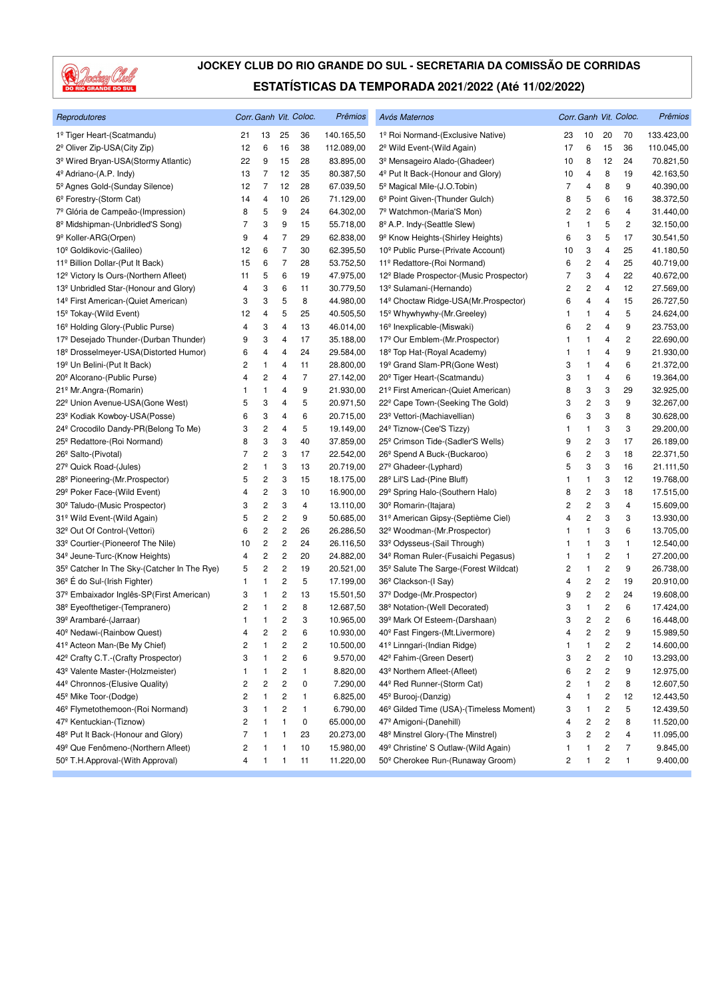

| Reprodutores                                            |                |                         |                         | Corr. Ganh Vit. Coloc. | Prêmios    | Avós Maternos                                       |                |                         |                         | Corr. Ganh Vit. Coloc. | Prêmios    |
|---------------------------------------------------------|----------------|-------------------------|-------------------------|------------------------|------------|-----------------------------------------------------|----------------|-------------------------|-------------------------|------------------------|------------|
| 1º Tiger Heart-(Scatmandu)                              | 21             | 13                      | 25                      | 36                     | 140.165,50 | 1º Roi Normand-(Exclusive Native)                   | 23             | 10                      | 20                      | 70                     | 133.423,00 |
| 2 <sup>º</sup> Oliver Zip-USA(City Zip)                 | 12             | 6                       | 16                      | 38                     | 112.089,00 | 2 <sup>°</sup> Wild Event-(Wild Again)              | 17             | 6                       | 15                      | 36                     | 110.045,00 |
| 3 <sup>º</sup> Wired Bryan-USA(Stormy Atlantic)         | 22             | 9                       | 15                      | 28                     | 83.895,00  | 3 <sup>º</sup> Mensageiro Alado-(Ghadeer)           | 10             | 8                       | 12                      | 24                     | 70.821,50  |
| 4 <sup>º</sup> Adriano-(A.P. Indy)                      | 13             | 7                       | 12                      | 35                     | 80.387,50  | 4 <sup>º</sup> Put It Back-(Honour and Glory)       | 10             | 4                       | 8                       | 19                     | 42.163,50  |
| 5 <sup>°</sup> Agnes Gold-(Sunday Silence)              | 12             | 7                       | 12                      | 28                     | 67.039,50  | 5 <sup>°</sup> Magical Mile-(J.O.Tobin)             | 7              | 4                       | 8                       | 9                      | 40.390,00  |
| 6 <sup>°</sup> Forestry-(Storm Cat)                     | 14             | 4                       | 10                      | 26                     | 71.129,00  | 6 <sup>°</sup> Point Given-(Thunder Gulch)          | 8              | 5                       | 6                       | 16                     | 38.372,50  |
| 7º Glória de Campeão-(Impression)                       | 8              | 5                       | 9                       | 24                     | 64.302,00  | 7º Watchmon-(Maria'S Mon)                           | 2              | $\overline{\mathbf{c}}$ | 6                       | $\overline{4}$         | 31.440,00  |
| 8 <sup>º</sup> Midshipman-(Unbridled'S Song)            | 7              | 3                       | 9                       | 15                     | 55.718,00  | 8º A.P. Indy-(Seattle Slew)                         | 1              | 1                       | 5                       | 2                      | 32.150,00  |
| 9 <sup>º</sup> Koller-ARG(Orpen)                        | 9              | 4                       | 7                       | 29                     | 62.838,00  | 9 <sup>°</sup> Know Heights-(Shirley Heights)       | 6              | 3                       | 5                       | 17                     | 30.541,50  |
| 10 <sup>°</sup> Goldikovic-(Galileo)                    | 12             | 6                       | $\overline{7}$          | 30                     | 62.395,50  | 10º Public Purse-(Private Account)                  | 10             | 3                       | 4                       | 25                     | 41.180,50  |
| 11º Billion Dollar-(Put It Back)                        | 15             | 6                       | $\overline{7}$          | 28                     | 53.752,50  | 11º Redattore-(Roi Normand)                         | 6              | 2                       | 4                       | 25                     | 40.719,00  |
| 12 <sup>°</sup> Victory Is Ours-(Northern Afleet)       | 11             | 5                       | 6                       | 19                     | 47.975,00  | 12 <sup>°</sup> Blade Prospector-(Music Prospector) | 7              | 3                       | 4                       | 22                     | 40.672,00  |
| 13 <sup>º</sup> Unbridled Star-(Honour and Glory)       | 4              | 3                       | 6                       | 11                     | 30.779,50  | 13º Sulamani-(Hernando)                             | 2              | 2                       | 4                       | 12                     | 27.569,00  |
| 14 <sup>º</sup> First American-(Quiet American)         | 3              | 3                       | 5                       | 8                      | 44.980,00  | 14º Choctaw Ridge-USA(Mr.Prospector)                | 6              | 4                       | 4                       | 15                     | 26.727,50  |
| 15 <sup>°</sup> Tokay-(Wild Event)                      | 12             | 4                       | 5                       | 25                     | 40.505,50  | 15 <sup>°</sup> Whywhywhy-(Mr.Greeley)              | 1              | 1                       | 4                       | 5                      | 24.624,00  |
| 16 <sup>°</sup> Holding Glory-(Public Purse)            | 4              | 3                       | 4                       | 13                     | 46.014,00  | 16 <sup>°</sup> Inexplicable-(Miswaki)              | 6              | $\overline{\mathbf{c}}$ | 4                       | 9                      | 23.753,00  |
| 17 <sup>º</sup> Desejado Thunder-(Durban Thunder)       | 9              | 3                       | 4                       | 17                     | 35.188,00  | 17º Our Emblem-(Mr. Prospector)                     | 1              | $\mathbf{1}$            | 4                       | 2                      | 22.690,00  |
| 18 <sup>º</sup> Drosselmeyer-USA(Distorted Humor)       | 6              | 4                       | 4                       | 24                     | 29.584,00  | 18 <sup>°</sup> Top Hat-(Royal Academy)             | 1              | $\mathbf{1}$            | 4                       | 9                      | 21.930,00  |
| 19 <sup>°</sup> Un Belini-(Put It Back)                 | 2              | 1                       | 4                       | 11                     | 28.800,00  | 19 <sup>°</sup> Grand Slam-PR(Gone West)            | 3              | $\mathbf{1}$            | 4                       | 6                      | 21.372,00  |
| 20 <sup>°</sup> Alcorano-(Public Purse)                 | 4              | 2                       | 4                       | $\overline{7}$         | 27.142,00  | 20 <sup>°</sup> Tiger Heart-(Scatmandu)             | 3              | 1                       | 4                       | 6                      | 19.364,00  |
| 21º Mr.Angra-(Romarin)                                  | 1              | 1                       | 4                       | 9                      | 21.930,00  | 21º First American-(Quiet American)                 | 8              | 3                       | 3                       | 29                     | 32.925,00  |
| 22 <sup>°</sup> Union Avenue-USA(Gone West)             | 5              | 3                       | 4                       | 5                      | 20.971,50  | 22º Cape Town-(Seeking The Gold)                    | 3              | 2                       | 3                       | 9                      | 32.267,00  |
| 23 <sup>°</sup> Kodiak Kowboy-USA(Posse)                | 6              | 3                       | 4                       | 6                      | 20.715,00  | 23º Vettori-(Machiavellian)                         | 6              | 3                       | 3                       | 8                      | 30.628,00  |
| 24 <sup>°</sup> Crocodilo Dandy-PR(Belong To Me)        | 3              | 2                       | 4                       | 5                      | 19.149,00  | 24 <sup>°</sup> Tiznow-(Cee'S Tizzy)                | 1              | $\mathbf{1}$            | 3                       | 3                      | 29.200,00  |
| 25 <sup>°</sup> Redattore-(Roi Normand)                 | 8              | 3                       | 3                       | 40                     | 37.859,00  | 25 <sup>°</sup> Crimson Tide-(Sadler'S Wells)       | 9              | 2                       | 3                       | 17                     | 26.189,00  |
| 26 <sup>°</sup> Salto-(Pivotal)                         | 7              | 2                       | 3                       | 17                     | 22.542,00  | 26 <sup>°</sup> Spend A Buck-(Buckaroo)             | 6              | $\overline{\mathbf{c}}$ | 3                       | 18                     | 22.371,50  |
| 27 <sup>°</sup> Quick Road-(Jules)                      | 2              | 1                       | 3                       | 13                     | 20.719,00  | 27 <sup>°</sup> Ghadeer-(Lyphard)                   | 5              | 3                       | 3                       | 16                     | 21.111,50  |
| 28 <sup>°</sup> Pioneering-(Mr.Prospector)              | 5              | 2                       | 3                       | 15                     | 18.175,00  | 28 <sup>°</sup> Lil'S Lad-(Pine Bluff)              | 1              | $\mathbf{1}$            | 3                       | 12                     | 19.768,00  |
| 29 <sup>°</sup> Poker Face-(Wild Event)                 | 4              | 2                       | 3                       | 10                     | 16.900,00  | 29° Spring Halo-(Southern Halo)                     | 8              | 2                       | 3                       | 18                     | 17.515,00  |
| 30 <sup>°</sup> Taludo-(Music Prospector)               | 3              | 2                       | 3                       | 4                      | 13.110,00  | 30 <sup>°</sup> Romarin-(Itajara)                   | 2              | 2                       | 3                       | 4                      | 15.609,00  |
| 31º Wild Event-(Wild Again)                             | 5              | $\overline{\mathbf{c}}$ | $\overline{c}$          | 9                      | 50.685,00  | 31º American Gipsy-(Septième Ciel)                  | 4              | 2                       | 3                       | 3                      | 13.930,00  |
| 32 <sup>°</sup> Out Of Control-(Vettori)                | 6              | 2                       | $\overline{\mathbf{c}}$ | 26                     | 26.286,50  | 32º Woodman-(Mr.Prospector)                         | 1              | 1                       | 3                       | 6                      | 13.705,00  |
| 33º Courtier-(Pioneerof The Nile)                       | 10             | 2                       | 2                       | 24                     | 26.116,50  | 33º Odysseus-(Sail Through)                         | 1              | $\mathbf{1}$            | 3                       | 1                      | 12.540,00  |
| 34 <sup>°</sup> Jeune-Turc-(Know Heights)               | 4              | 2                       | $\overline{\mathbf{c}}$ | 20                     | 24.882,00  | 34 <sup>°</sup> Roman Ruler-(Fusaichi Pegasus)      | 1              | $\mathbf{1}$            | $\overline{c}$          | 1                      | 27.200,00  |
| 35 <sup>°</sup> Catcher In The Sky-(Catcher In The Rye) | 5              | 2                       | $\overline{\mathbf{c}}$ | 19                     | 20.521,00  | 35 <sup>°</sup> Salute The Sarge-(Forest Wildcat)   | 2              | $\mathbf{1}$            | $\overline{c}$          | 9                      | 26.738,00  |
| 36 <sup>°</sup> E do Sul-(Irish Fighter)                | 1              | 1                       | $\overline{\mathbf{c}}$ | 5                      | 17.199,00  | 36 <sup>°</sup> Clackson-(I Say)                    | 4              | 2                       | $\overline{\mathbf{c}}$ | 19                     | 20.910,00  |
| 37 <sup>°</sup> Embaixador Inglês-SP(First American)    | 3              | 1                       | $\overline{\mathbf{c}}$ | 13                     | 15.501,50  | 37º Dodge-(Mr.Prospector)                           | 9              | 2                       | $\overline{\mathbf{c}}$ | 24                     | 19.608,00  |
| 38 <sup>°</sup> Eyeofthetiger-(Tempranero)              | 2              | 1                       | $\overline{\mathbf{c}}$ | 8                      | 12.687,50  | 38º Notation-(Well Decorated)                       | 3              | $\mathbf{1}$            | 2                       | 6                      | 17.424,00  |
| 39º Arambaré-(Jarraar)                                  | 1              | 1                       | 2                       | 3                      | 10.965,00  | 39º Mark Of Esteem-(Darshaan)                       | 3              | 2                       | 2                       | 6                      | 16.448,00  |
| 40 <sup>°</sup> Nedawi-(Rainbow Quest)                  | $\overline{4}$ | 2                       | $\overline{c}$          | 6                      | 10.930,00  | 40 <sup>°</sup> Fast Fingers-(Mt.Livermore)         | $\overline{4}$ | 2                       | $\overline{c}$          | 9                      | 15.989,50  |
| 41º Acteon Man-(Be My Chief)                            | 2              | 1                       | $\overline{\mathbf{c}}$ | 2                      | 10.500,00  | 41º Linngari-(Indian Ridge)                         | 1              | $\mathbf{1}$            | $\overline{c}$          | 2                      | 14.600,00  |
| 42º Crafty C.T.-(Crafty Prospector)                     | 3              | 1                       | $\overline{\mathbf{c}}$ | 6                      | 9.570,00   | 42º Fahim-(Green Desert)                            | 3              | 2                       | $\overline{\mathbf{c}}$ | 10                     | 13.293,00  |
| 43º Valente Master-(Holzmeister)                        | 1              | 1                       | 2                       | 1                      | 8.820,00   | 43 <sup>°</sup> Northern Afleet-(Afleet)            | 6              | 2                       | $\overline{\mathbf{c}}$ | 9                      | 12.975,00  |
| 44º Chronnos-(Elusive Quality)                          | 2              | 2                       | 2                       | 0                      | 7.290,00   | 44 <sup>°</sup> Red Runner-(Storm Cat)              | 2              | 1                       | 2                       | 8                      | 12.607,50  |
| 45 <sup>°</sup> Mike Toor-(Dodge)                       | 2              | 1                       | $\overline{\mathbf{c}}$ | $\mathbf{1}$           | 6.825,00   | 45 <sup>°</sup> Burooj-(Danzig)                     | 4              | 1                       | $\boldsymbol{2}$        | 12                     | 12.443,50  |
| 46 <sup>°</sup> Flymetothemoon-(Roi Normand)            | 3              | 1                       | 2                       | $\mathbf{1}$           | 6.790,00   | 46 <sup>°</sup> Gilded Time (USA)-(Timeless Moment) | 3              | 1                       | $\mathbf 2$             | 5                      | 12.439,50  |
| 47º Kentuckian-(Tiznow)                                 | 2              | 1                       | 1                       | 0                      | 65.000,00  | 47 <sup>°</sup> Amigoni-(Danehill)                  | 4              | 2                       | $\overline{\mathbf{c}}$ | 8                      | 11.520,00  |
| 48 <sup>°</sup> Put It Back-(Honour and Glory)          | $\overline{7}$ | 1                       | 1                       | 23                     | 20.273,00  | 48 <sup>°</sup> Minstrel Glory-(The Minstrel)       | 3              | 2                       | $\overline{\mathbf{c}}$ | 4                      | 11.095,00  |
| 49º Que Fenômeno-(Northern Afleet)                      | 2              | 1                       | 1                       | 10                     | 15.980,00  | 49º Christine' S Outlaw-(Wild Again)                | 1              | 1                       | 2                       | 7                      | 9.845,00   |
| 50 <sup>°</sup> T.H.Approval-(With Approval)            | 4              | 1                       | 1                       | 11                     | 11.220,00  | 50 <sup>°</sup> Cherokee Run-(Runaway Groom)        | 2              | $\mathbf{1}$            | $\overline{\mathbf{c}}$ | 1                      | 9.400,00   |
|                                                         |                |                         |                         |                        |            |                                                     |                |                         |                         |                        |            |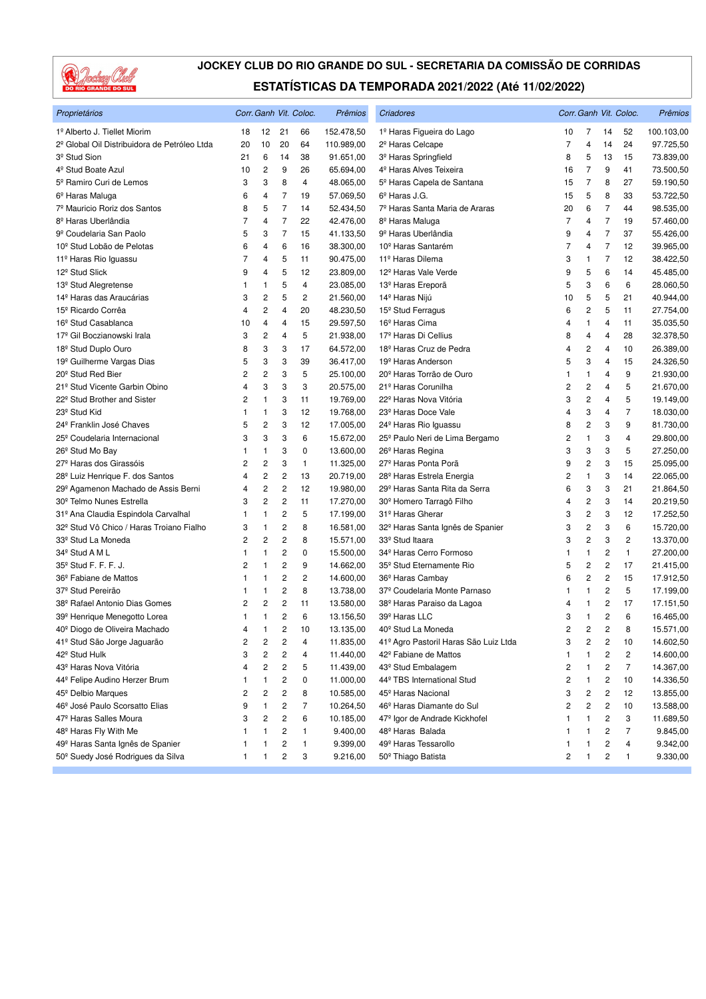

| Proprietários                                        |    |                         |                         | Corr. Ganh Vit. Coloc. | Prêmios    | Criadores                                    |                |                         |                | Corr. Ganh Vit. Coloc.  | Prêmios    |
|------------------------------------------------------|----|-------------------------|-------------------------|------------------------|------------|----------------------------------------------|----------------|-------------------------|----------------|-------------------------|------------|
| 1º Alberto J. Tiellet Miorim                         | 18 | 12                      | 21                      | 66                     | 152.478,50 | 1º Haras Figueira do Lago                    | 10             | 7                       | 14             | 52                      | 100.103,00 |
| 2º Global Oil Distribuidora de Petróleo Ltda         | 20 | 10                      | 20                      | 64                     | 110.989,00 | 2 <sup>º</sup> Haras Celcape                 | 7              | 4                       | 14             | 24                      | 97.725,50  |
| 3 <sup>º</sup> Stud Sion                             | 21 | 6                       | 14                      | 38                     | 91.651,00  | 3 <sup>º</sup> Haras Springfield             | 8              | 5                       | 13             | 15                      | 73.839,00  |
| 4 <sup>º</sup> Stud Boate Azul                       | 10 | 2                       | 9                       | 26                     | 65.694,00  | 4 <sup>º</sup> Haras Alves Teixeira          | 16             | $\overline{7}$          | 9              | 41                      | 73.500,50  |
| 5º Ramiro Curi de Lemos                              | 3  | 3                       | 8                       | $\overline{4}$         | 48.065,00  | 5º Haras Capela de Santana                   | 15             | 7                       | 8              | 27                      | 59.190,50  |
| 6º Haras Maluga                                      | 6  | 4                       | 7                       | 19                     | 57.069,50  | $6^{\circ}$ Haras J.G.                       | 15             | 5                       | 8              | 33                      | 53.722,50  |
| 7º Mauricio Roriz dos Santos                         | 8  | 5                       | $\overline{7}$          | 14                     | 52.434,50  | 7º Haras Santa Maria de Araras               | 20             | 6                       | $\overline{7}$ | 44                      | 98.535,00  |
| 8 <sup>º</sup> Haras Uberlândia                      | 7  | 4                       | $\overline{7}$          | 22                     | 42.476,00  | 8 <sup>º</sup> Haras Maluga                  | 7              | 4                       | 7              | 19                      | 57.460,00  |
| 9º Coudelaria San Paolo                              | 5  | 3                       | $\overline{7}$          | 15                     | 41.133,50  | 9 <sup>º</sup> Haras Uberlândia              | 9              | 4                       | $\overline{7}$ | 37                      | 55.426,00  |
| 10 <sup>°</sup> Stud Lobão de Pelotas                | 6  | 4                       | 6                       | 16                     | 38.300,00  | 10 <sup>°</sup> Haras Santarém               | 7              | 4                       | $\overline{7}$ | 12                      | 39.965,00  |
| 11º Haras Rio Iguassu                                | 7  | 4                       | 5                       | 11                     | 90.475,00  | 11º Haras Dilema                             | 3              | $\mathbf{1}$            | $\overline{7}$ | 12                      | 38.422,50  |
| 12 <sup>°</sup> Stud Slick                           | 9  | 4                       | 5                       | 12                     | 23.809,00  | 12 <sup>º</sup> Haras Vale Verde             | 9              | 5                       | 6              | 14                      | 45.485,00  |
| 13 <sup>º</sup> Stud Alegretense                     | 1  | 1                       | 5                       | 4                      | 23.085,00  | 13 <sup>º</sup> Haras Ereporã                | 5              | 3                       | 6              | 6                       | 28.060,50  |
| 14 <sup>º</sup> Haras das Araucárias                 | 3  | 2                       | 5                       | 2                      | 21.560,00  | 14º Haras Nijú                               | 10             | 5                       | 5              | 21                      | 40.944,00  |
| 15º Ricardo Corrêa                                   | 4  | 2                       | 4                       | 20                     | 48.230,50  | 15 <sup>°</sup> Stud Ferragus                | 6              | 2                       | 5              | 11                      | 27.754,00  |
| 16 <sup>°</sup> Stud Casablanca                      | 10 | 4                       | 4                       | 15                     | 29.597,50  | 16 <sup>°</sup> Haras Cima                   | 4              | $\mathbf{1}$            | $\overline{4}$ | 11                      | 35.035,50  |
| 17 <sup>º</sup> Gil Boczianowski Irala               | 3  | $\overline{\mathbf{c}}$ | 4                       | 5                      | 21.938,00  | 17º Haras Di Cellius                         | 8              | 4                       | 4              | 28                      | 32.378,50  |
| 18 <sup>°</sup> Stud Duplo Ouro                      | 8  | 3                       | 3                       | 17                     | 64.572,00  | 18 <sup>º</sup> Haras Cruz de Pedra          | 4              | $\overline{\mathbf{c}}$ | 4              | 10                      | 26.389,00  |
| 19 <sup>°</sup> Guilherme Vargas Dias                | 5  | 3                       | 3                       | 39                     | 36.417,00  | 19 <sup>°</sup> Haras Anderson               | 5              | 3                       | 4              | 15                      | 24.326,50  |
| 20 <sup>°</sup> Stud Red Bier                        | 2  | $\overline{\mathbf{c}}$ | 3                       | 5                      | 25.100,00  | 20 <sup>°</sup> Haras Torrão de Ouro         | 1              | $\mathbf{1}$            | 4              | 9                       | 21.930,00  |
| 21º Stud Vicente Garbin Obino                        | 4  | 3                       | 3                       | 3                      | 20.575,00  | 21 <sup>º</sup> Haras Corunilha              | 2              | $\overline{\mathbf{c}}$ | 4              | 5                       | 21.670,00  |
| 22 <sup>°</sup> Stud Brother and Sister              | 2  | 1                       | 3                       | 11                     | 19.769,00  | 22 <sup>°</sup> Haras Nova Vitória           | 3              | $\overline{c}$          | 4              | 5                       | 19.149,00  |
| 23 <sup>°</sup> Stud Kid                             | 1  | 1                       | 3                       | 12                     | 19.768,00  | 23º Haras Doce Vale                          | 4              | 3                       | 4              | 7                       | 18.030,00  |
| 24 <sup>°</sup> Franklin José Chaves                 | 5  | $\overline{\mathbf{c}}$ | 3                       | 12                     | 17.005,00  | 24 <sup>°</sup> Haras Rio Iguassu            | 8              | $\overline{c}$          | 3              | 9                       | 81.730,00  |
| 25 <sup>°</sup> Coudelaria Internacional             | 3  | 3                       | 3                       | 6                      | 15.672,00  | 25º Paulo Neri de Lima Bergamo               | 2              | $\mathbf{1}$            | 3              | 4                       | 29.800,00  |
| 26 <sup>°</sup> Stud Mo Bay                          | 1  | 1                       | 3                       | 0                      | 13.600,00  | 26 <sup>°</sup> Haras Regina                 | 3              | 3                       | 3              | 5                       | 27.250,00  |
| 27º Haras dos Girassóis                              | 2  | 2                       | 3                       | $\mathbf{1}$           | 11.325,00  | 27 <sup>º</sup> Haras Ponta Porã             | 9              | 2                       | 3              | 15                      | 25.095,00  |
| 28 <sup>°</sup> Luiz Henrique F. dos Santos          | 4  | $\overline{\mathbf{c}}$ | 2                       | 13                     | 20.719,00  | 28 <sup>°</sup> Haras Estrela Energia        | 2              | $\mathbf{1}$            | 3              | 14                      | 22.065,00  |
| 29º Agamenon Machado de Assis Berni                  | 4  | 2                       | 2                       | 12                     | 19.980,00  | 29º Haras Santa Rita da Serra                | 6              | 3                       | 3              | 21                      | 21.864,50  |
| 30 <sup>°</sup> Telmo Nunes Estrella                 | 3  | 2                       | $\overline{\mathbf{c}}$ | 11                     | 17.270,00  | 30 <sup>°</sup> Homero Tarragô Filho         | 4              | $\overline{\mathbf{c}}$ | 3              | 14                      | 20.219,50  |
| 31º Ana Claudia Espindola Carvalhal                  | 1  | 1                       | $\overline{c}$          | 5                      | 17.199,00  | 31 <sup>º</sup> Haras Gherar                 | 3              | $\overline{c}$          | 3              | 12                      | 17.252,50  |
| 32 <sup>º</sup> Stud Vô Chico / Haras Troiano Fialho | 3  | 1                       | $\overline{\mathbf{c}}$ | 8                      | 16.581,00  | 32 <sup>º</sup> Haras Santa Ignês de Spanier | 3              | $\sqrt{2}$              | 3              | 6                       | 15.720,00  |
| 33º Stud La Moneda                                   | 2  | 2                       | 2                       | 8                      | 15.571,00  | 33º Stud Itaara                              | 3              | $\overline{c}$          | 3              | 2                       | 13.370,00  |
| 34 <sup>°</sup> Stud A M L                           | 1  | 1                       | 2                       | 0                      | 15.500,00  | 34 <sup>º</sup> Haras Cerro Formoso          | 1              | $\mathbf{1}$            | 2              | 1                       | 27.200,00  |
| 35 <sup>°</sup> Stud F. F. F. J.                     | 2  | 1                       | $\overline{c}$          | 9                      | 14.662,00  | 35 <sup>°</sup> Stud Eternamente Rio         | 5              | $\overline{c}$          | 2              | 17                      | 21.415,00  |
| 36º Fabiane de Mattos                                | 1  | 1                       | $\overline{c}$          | $\overline{c}$         | 14.600,00  | 36 <sup>°</sup> Haras Cambay                 | 6              | $\overline{c}$          | 2              | 15                      | 17.912,50  |
| 37 <sup>º</sup> Stud Pereirão                        | 1  | 1                       | $\overline{\mathbf{c}}$ | 8                      | 13.738,00  | 37º Coudelaria Monte Parnaso                 | 1              | $\mathbf{1}$            | 2              | 5                       | 17.199,00  |
| 38º Rafael Antonio Dias Gomes                        | 2  | 2                       | 2                       | 11                     | 13.580,00  | 38º Haras Paraiso da Lagoa                   | 4              | 1                       | 2              | 17                      | 17.151,50  |
| 39º Henrique Menegotto Lorea                         | -1 | 1                       | 2                       | 6                      | 13.156,50  | 39º Haras LLC                                | 3              | $\mathbf{1}$            | 2              | 6                       | 16.465,00  |
| 40 <sup>°</sup> Diogo de Oliveira Machado            | 4  | 1                       | $\overline{2}$          | 10                     | 13.135,00  | 40 <sup>°</sup> Stud La Moneda               | $\overline{2}$ | $\overline{c}$          | $\overline{c}$ | 8                       | 15.571,00  |
| 41º Stud São Jorge Jaguarão                          | 2  | 2                       | 2                       | 4                      | 11.835,00  | 41º Agro Pastoril Haras São Luiz Ltda        | 3              | 2                       | 2              | 10                      | 14.602,50  |
| 42º Stud Hulk                                        | 3  | 2                       | 2                       | 4                      | 11.440,00  | 42 <sup>°</sup> Fabiane de Mattos            | 1              | 1                       | 2              | $\overline{\mathbf{c}}$ | 14.600,00  |
| 43º Haras Nova Vitória                               | 4  | 2                       | 2                       | 5                      | 11.439,00  | 43º Stud Embalagem                           | 2              | 1                       | 2              | $\overline{7}$          | 14.367,00  |
| 44º Felipe Audino Herzer Brum                        | 1  | 1                       | 2                       | 0                      | 11.000,00  | 44º TBS International Stud                   | 2              | 1                       | 2              | 10                      | 14.336,50  |
| 45 <sup>°</sup> Delbio Marques                       | 2  | 2                       | 2                       | 8                      | 10.585,00  | 45 <sup>°</sup> Haras Nacional               | 3              | 2                       | 2              | 12                      | 13.855,00  |
| 46 <sup>°</sup> José Paulo Scorsatto Elias           | 9  | 1                       | 2                       | 7                      | 10.264,50  | 46º Haras Diamante do Sul                    | 2              | 2                       | 2              | 10                      | 13.588,00  |
| 47º Haras Salles Moura                               | 3  | 2                       | 2                       | 6                      | 10.185,00  | 47 <sup>º</sup> Igor de Andrade Kickhofel    | 1              | 1                       | 2              | 3                       | 11.689,50  |
| 48º Haras Fly With Me                                | 1  | 1                       | 2                       | 1                      | 9.400,00   | 48 <sup>°</sup> Haras Balada                 | 1              | 1                       | 2              | 7                       | 9.845,00   |
| 49º Haras Santa Ignês de Spanier                     | 1  | 1                       | 2                       | 1                      | 9.399,00   | 49 <sup>°</sup> Haras Tessarollo             | 1              | 1                       | 2              | 4                       | 9.342,00   |
| 50º Suedy José Rodrigues da Silva                    | 1  | 1                       | $\overline{\mathbf{c}}$ | 3                      | 9.216,00   | 50 <sup>°</sup> Thiago Batista               | 2              | 1                       | 2              | 1                       | 9.330,00   |
|                                                      |    |                         |                         |                        |            |                                              |                |                         |                |                         |            |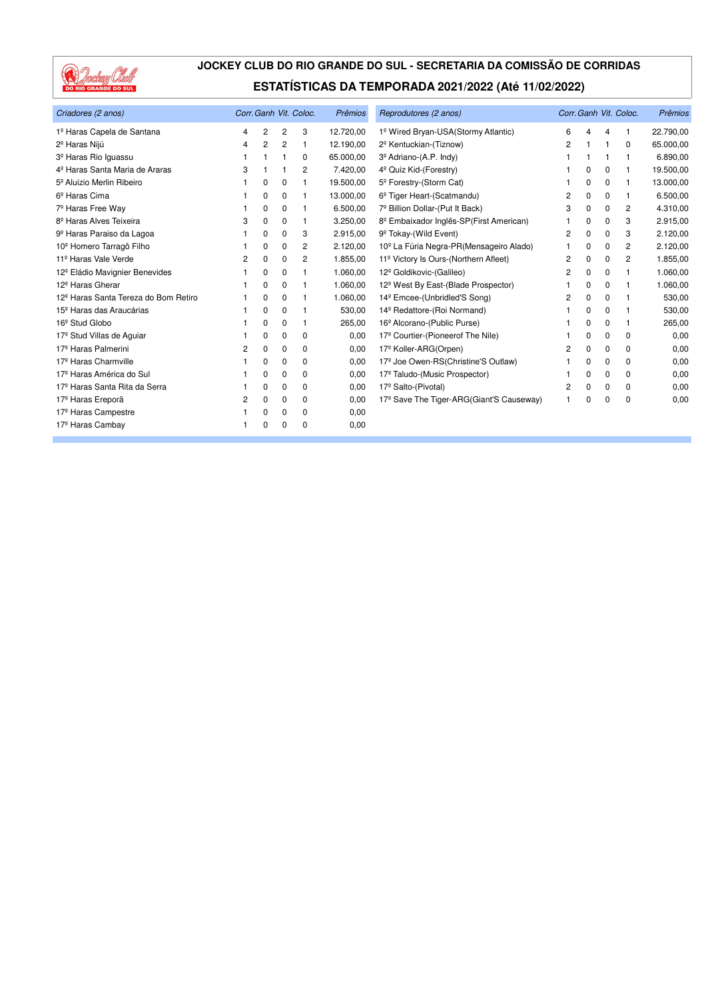

| Criadores (2 anos)                               | Corr. Ganh Vit. Coloc. |          |   |          | Prêmios   | Reprodutores (2 anos)                                |   |          |          | Corr. Ganh Vit. Coloc. | Prêmios   |
|--------------------------------------------------|------------------------|----------|---|----------|-----------|------------------------------------------------------|---|----------|----------|------------------------|-----------|
| 1º Haras Capela de Santana                       | 4                      | 2        | 2 | 3        | 12.720,00 | 1º Wired Bryan-USA(Stormy Atlantic)                  | 6 | Δ        | 4        |                        | 22.790,00 |
| 2 <sup>º</sup> Haras Nijú                        | 4                      | 2        | 2 |          | 12.190,00 | 2 <sup>º</sup> Kentuckian-(Tiznow)                   | 2 |          |          | 0                      | 65.000,00 |
| 3 <sup>º</sup> Haras Rio Iguassu                 |                        |          |   | 0        | 65.000,00 | 3 <sup>º</sup> Adriano-(A.P. Indy)                   |   |          |          |                        | 6.890,00  |
| 4 <sup>º</sup> Haras Santa Maria de Araras       | 3                      |          |   | 2        | 7.420,00  | 4 <sup>°</sup> Quiz Kid-(Forestry)                   |   | $\Omega$ | 0        | 1                      | 19.500,00 |
| 5 <sup>°</sup> Aluizio Merlin Ribeiro            |                        | $\Omega$ | 0 |          | 19.500,00 | 5 <sup>°</sup> Forestry-(Storm Cat)                  |   | $\Omega$ | 0        | 1                      | 13.000,00 |
| 6 <sup>º</sup> Haras Cima                        |                        | 0        | 0 |          | 13.000,00 | 6 <sup>°</sup> Tiger Heart-(Scatmandu)               | 2 | 0        | 0        | 1                      | 6.500,00  |
| 7º Haras Free Way                                |                        | 0        | 0 | 1        | 6.500,00  | 7º Billion Dollar-(Put It Back)                      | 3 | 0        | 0        | 2                      | 4.310,00  |
| 8 <sup>º</sup> Haras Alves Teixeira              | 3                      | $\Omega$ | 0 | 1        | 3.250,00  | 8 <sup>°</sup> Embaixador Inglês-SP(First American)  |   | 0        | 0        | 3                      | 2.915,00  |
| 9º Haras Paraiso da Lagoa                        |                        | 0        | 0 | 3        | 2.915,00  | 9 <sup>º</sup> Tokay-(Wild Event)                    | 2 | 0        | 0        | 3                      | 2.120,00  |
| 10 <sup>º</sup> Homero Tarragô Filho             |                        | 0        | 0 | 2        | 2.120,00  | 10 <sup>°</sup> La Fúria Negra-PR(Mensageiro Alado)  |   | 0        | 0        | 2                      | 2.120,00  |
| 11º Haras Vale Verde                             | 2                      | $\Omega$ | 0 | 2        | 1.855,00  | 11º Victory Is Ours-(Northern Afleet)                | 2 | $\Omega$ | 0        | 2                      | 1.855,00  |
| 12 <sup>º</sup> Eládio Mavignier Benevides       |                        | 0        | 0 |          | 1.060,00  | 12 <sup>º</sup> Goldikovic-(Galileo)                 | 2 | 0        | 0        | 1                      | 1.060,00  |
| 12 <sup>º</sup> Haras Gherar                     |                        | 0        | 0 |          | 1.060,00  | 12 <sup>°</sup> West By East-(Blade Prospector)      |   | 0        | 0        | 1                      | 1.060,00  |
| 12 <sup>º</sup> Haras Santa Tereza do Bom Retiro |                        | 0        | 0 |          | 1.060,00  | 14 <sup>°</sup> Emcee-(Unbridled'S Song)             | 2 | 0        | 0        | 1                      | 530,00    |
| 15 <sup>°</sup> Haras das Araucárias             |                        | $\Omega$ | 0 |          | 530,00    | 14 <sup>º</sup> Redattore-(Roi Normand)              |   | $\Omega$ | 0        | 1                      | 530,00    |
| 16 <sup>°</sup> Stud Globo                       |                        | 0        | 0 |          | 265,00    | 16 <sup>°</sup> Alcorano-(Public Purse)              |   | 0        | 0        |                        | 265,00    |
| 17 <sup>º</sup> Stud Villas de Aquiar            |                        | $\Omega$ | 0 | 0        | 0,00      | 17º Courtier-(Pioneerof The Nile)                    |   | $\Omega$ | $\Omega$ | 0                      | 0,00      |
| 17 <sup>º</sup> Haras Palmerini                  | 2                      | $\Omega$ | 0 | 0        | 0,00      | 17 <sup>º</sup> Koller-ARG(Orpen)                    | 2 | $\Omega$ | 0        | $\Omega$               | 0,00      |
| 17 <sup>º</sup> Haras Charmville                 |                        | 0        | 0 | 0        | 0,00      | 17º Joe Owen-RS(Christine'S Outlaw)                  |   | 0        | 0        | 0                      | 0,00      |
| 17 <sup>º</sup> Haras América do Sul             |                        | $\Omega$ | 0 | 0        | 0,00      | 17º Taludo-(Music Prospector)                        |   | $\Omega$ | 0        | 0                      | 0,00      |
| 17 <sup>º</sup> Haras Santa Rita da Serra        |                        | 0        | 0 | 0        | 0,00      | 17º Salto-(Pivotal)                                  | 2 | $\Omega$ | 0        | $\Omega$               | 0,00      |
| 17 <sup>º</sup> Haras Ereporã                    | 2                      | 0        | 0 | 0        | 0,00      | 17 <sup>°</sup> Save The Tiger-ARG(Giant'S Causeway) | 1 | $\Omega$ | $\Omega$ | 0                      | 0,00      |
| 17 <sup>º</sup> Haras Campestre                  |                        | 0        | 0 | $\Omega$ | 0,00      |                                                      |   |          |          |                        |           |
| 17 <sup>º</sup> Haras Cambay                     |                        | 0        | 0 | $\Omega$ | 0,00      |                                                      |   |          |          |                        |           |